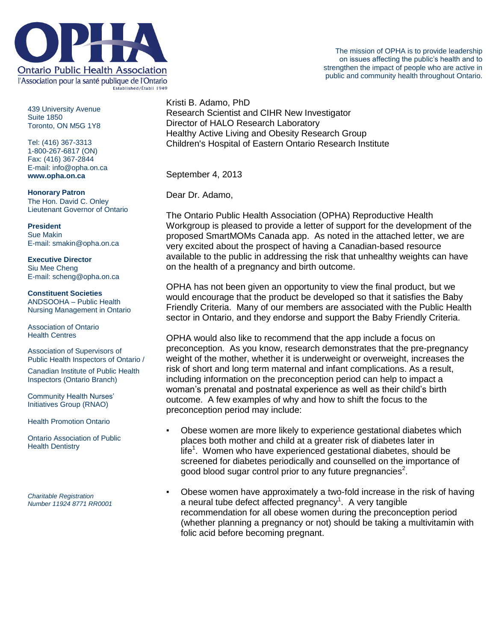

439 University Avenue Suite 1850 Toronto, ON M5G 1Y8

Tel: (416) 367-3313 1-800-267-6817 (ON) Fax: (416) 367-2844 E-mail: info@opha.on.ca **www.opha.on.ca**

**Honorary Patron** The Hon. David C. Onley Lieutenant Governor of Ontario

**President** Sue Makin E-mail: smakin@opha.on.ca

**Executive Director** Siu Mee Cheng E-mail: scheng@opha.on.ca

**Constituent Societies** ANDSOOHA – Public Health Nursing Management in Ontario

Association of Ontario Health Centres

Association of Supervisors of Public Health Inspectors of Ontario /

Canadian Institute of Public Health Inspectors (Ontario Branch)

Community Health Nurses' Initiatives Group (RNAO)

Health Promotion Ontario

Ontario Association of Public Health Dentistry

*Charitable Registration Number 11924 8771 RR0001* Kristi B. Adamo, PhD Research Scientist and CIHR New Investigator Director of HALO Research Laboratory Healthy Active Living and Obesity Research Group Children's Hospital of Eastern Ontario Research Institute

September 4, 2013

Dear Dr. Adamo,

The Ontario Public Health Association (OPHA) Reproductive Health Workgroup is pleased to provide a letter of support for the development of the proposed SmartMOMs Canada app. As noted in the attached letter, we are very excited about the prospect of having a Canadian-based resource available to the public in addressing the risk that unhealthy weights can have on the health of a pregnancy and birth outcome.

OPHA has not been given an opportunity to view the final product, but we would encourage that the product be developed so that it satisfies the Baby Friendly Criteria. Many of our members are associated with the Public Health sector in Ontario, and they endorse and support the Baby Friendly Criteria.

OPHA would also like to recommend that the app include a focus on preconception. As you know, research demonstrates that the pre-pregnancy weight of the mother, whether it is underweight or overweight, increases the risk of short and long term maternal and infant complications. As a result, including information on the preconception period can help to impact a woman's prenatal and postnatal experience as well as their child's birth outcome. A few examples of why and how to shift the focus to the preconception period may include:

- Obese women are more likely to experience gestational diabetes which places both mother and child at a greater risk of diabetes later in life<sup>1</sup>. Women who have experienced gestational diabetes, should be screened for diabetes periodically and counselled on the importance of good blood sugar control prior to any future pregnancies<sup>2</sup>.
- Obese women have approximately a two-fold increase in the risk of having a neural tube defect affected pregnancy<sup>1</sup>. A very tangible recommendation for all obese women during the preconception period (whether planning a pregnancy or not) should be taking a multivitamin with folic acid before becoming pregnant.

The mission of OPHA is to provide leadership on issues affecting the public's health and to strengthen the impact of people who are active in public and community health throughout Ontario.